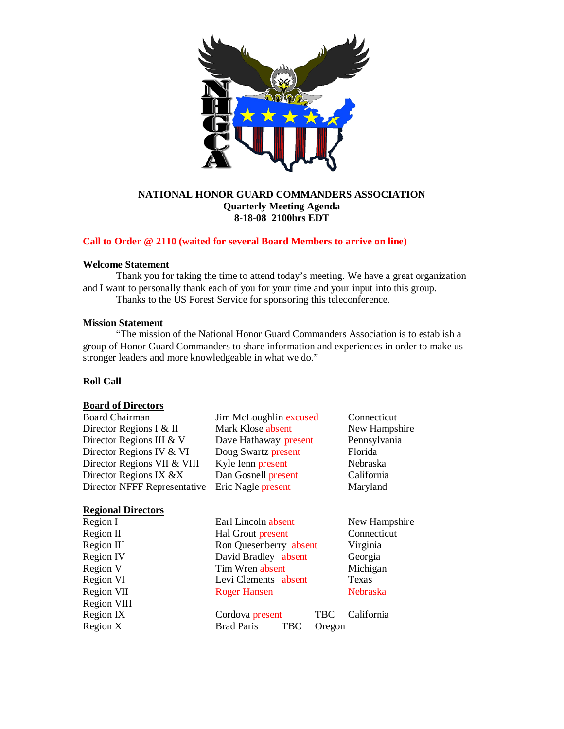

# **NATIONAL HONOR GUARD COMMANDERS ASSOCIATION Quarterly Meeting Agenda 8-18-08 2100hrs EDT**

## **Call to Order @ 2110 (waited for several Board Members to arrive on line)**

## **Welcome Statement**

Thank you for taking the time to attend today's meeting. We have a great organization and I want to personally thank each of you for your time and your input into this group. Thanks to the US Forest Service for sponsoring this teleconference.

#### **Mission Statement**

"The mission of the National Honor Guard Commanders Association is to establish a group of Honor Guard Commanders to share information and experiences in order to make us stronger leaders and more knowledgeable in what we do."

# **Roll Call**

## **Board of Directors**

| <b>Board Chairman</b>        | Jim McLoughlin excused | Connecticut   |
|------------------------------|------------------------|---------------|
| Director Regions I & II      | Mark Klose absent      | New Hampshire |
| Director Regions III & V     | Dave Hathaway present  | Pennsylvania  |
| Director Regions IV & VI     | Doug Swartz present    | Florida       |
| Director Regions VII & VIII  | Kyle Ienn present      | Nebraska      |
| Director Regions IX &X       | Dan Gosnell present    | California    |
| Director NFFF Representative | Eric Nagle present     | Maryland      |
| <b>Regional Directors</b>    |                        |               |
| Region I                     | Earl Lincoln absent    | New Hampshire |

| Region I    | Earl Lincoln absent                       | New Hampshire |
|-------------|-------------------------------------------|---------------|
| Region II   | Hal Grout present                         | Connecticut   |
| Region III  | Ron Quesenberry absent                    | Virginia      |
| Region IV   | David Bradley absent                      | Georgia       |
| Region V    | Tim Wren absent                           | Michigan      |
| Region VI   | Levi Clements absent                      | Texas         |
| Region VII  | <b>Roger Hansen</b>                       | Nebraska      |
| Region VIII |                                           |               |
| Region IX   | Cordova present<br><b>TBC</b>             | California    |
| Region $X$  | <b>Brad Paris</b><br><b>TBC</b><br>Oregon |               |
|             |                                           |               |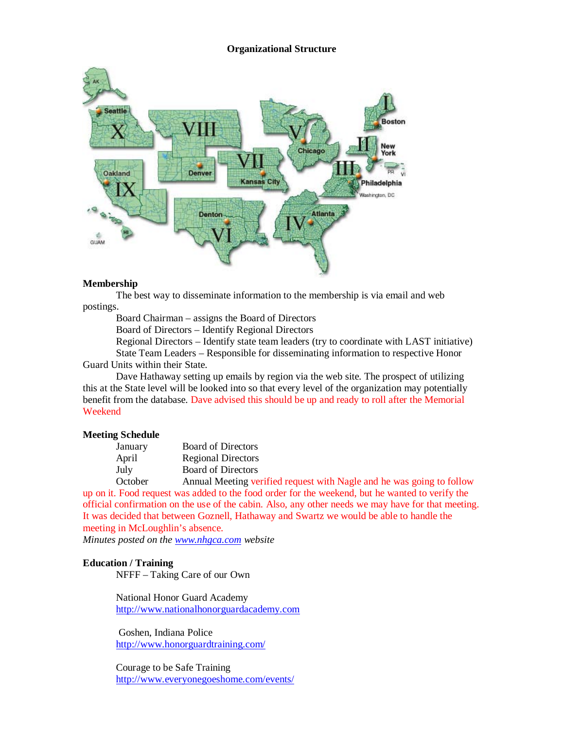### **Organizational Structure**



## **Membership**

The best way to disseminate information to the membership is via email and web postings.

Board Chairman – assigns the Board of Directors

Board of Directors – Identify Regional Directors

Regional Directors – Identify state team leaders (try to coordinate with LAST initiative) State Team Leaders – Responsible for disseminating information to respective Honor

Guard Units within their State.

Dave Hathaway setting up emails by region via the web site. The prospect of utilizing this at the State level will be looked into so that every level of the organization may potentially benefit from the database. Dave advised this should be up and ready to roll after the Memorial Weekend

## **Meeting Schedule**

| January | <b>Board of Directors</b>                     |
|---------|-----------------------------------------------|
| April   | <b>Regional Directors</b>                     |
| July    | <b>Board of Directors</b>                     |
| October | Annual Meeting verified request with Nagle an |

d he was going to follow up on it. Food request was added to the food order for the weekend, but he wanted to verify the official confirmation on the use of the cabin. Also, any other needs we may have for that meeting. It was decided that between Goznell, Hathaway and Swartz we would be able to handle the meeting in McLoughlin's absence.

*Minutes posted on th[e www.nhgca.com](http://www.nhgca.com/) website*

# **Education / Training**

NFFF – Taking Care of our Own

National Honor Guard Academy [http://www.nationalhonorguardacademy.com](http://www.nationalhonorguardacademy.com/)

Goshen, Indiana Police <http://www.honorguardtraining.com/>

Courage to be Safe Training <http://www.everyonegoeshome.com/events/>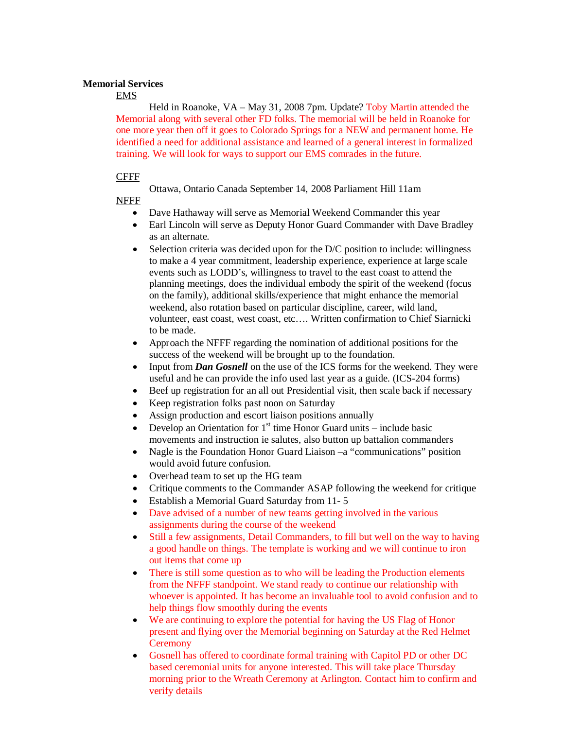## **Memorial Services**

EMS

Held in Roanoke, VA – May 31, 2008 7pm. Update? Toby Martin attended the Memorial along with several other FD folks. The memorial will be held in Roanoke for one more year then off it goes to Colorado Springs for a NEW and permanent home. He identified a need for additional assistance and learned of a general interest in formalized training. We will look for ways to support our EMS comrades in the future.

## CFFF

Ottawa, Ontario Canada September 14, 2008 Parliament Hill 11am

NFFF

- Dave Hathaway will serve as Memorial Weekend Commander this year
- Earl Lincoln will serve as Deputy Honor Guard Commander with Dave Bradley as an alternate.
- Selection criteria was decided upon for the D/C position to include: willingness to make a 4 year commitment, leadership experience, experience at large scale events such as LODD's, willingness to travel to the east coast to attend the planning meetings, does the individual embody the spirit of the weekend (focus on the family), additional skills/experience that might enhance the memorial weekend, also rotation based on particular discipline, career, wild land, volunteer, east coast, west coast, etc…. Written confirmation to Chief Siarnicki to be made.
- Approach the NFFF regarding the nomination of additional positions for the success of the weekend will be brought up to the foundation.
- Input from *Dan Gosnell* on the use of the ICS forms for the weekend. They were useful and he can provide the info used last year as a guide. (ICS-204 forms)
- Beef up registration for an all out Presidential visit, then scale back if necessary
- Keep registration folks past noon on Saturday
- Assign production and escort liaison positions annually
- Develop an Orientation for  $1<sup>st</sup>$  time Honor Guard units include basic movements and instruction ie salutes, also button up battalion commanders
- Nagle is the Foundation Honor Guard Liaison –a "communications" position would avoid future confusion.
- Overhead team to set up the HG team
- Critique comments to the Commander ASAP following the weekend for critique
- Establish a Memorial Guard Saturday from 11- 5
- Dave advised of a number of new teams getting involved in the various assignments during the course of the weekend
- Still a few assignments, Detail Commanders, to fill but well on the way to having a good handle on things. The template is working and we will continue to iron out items that come up
- There is still some question as to who will be leading the Production elements from the NFFF standpoint. We stand ready to continue our relationship with whoever is appointed. It has become an invaluable tool to avoid confusion and to help things flow smoothly during the events
- We are continuing to explore the potential for having the US Flag of Honor present and flying over the Memorial beginning on Saturday at the Red Helmet **Ceremony**
- Gosnell has offered to coordinate formal training with Capitol PD or other DC based ceremonial units for anyone interested. This will take place Thursday morning prior to the Wreath Ceremony at Arlington. Contact him to confirm and verify details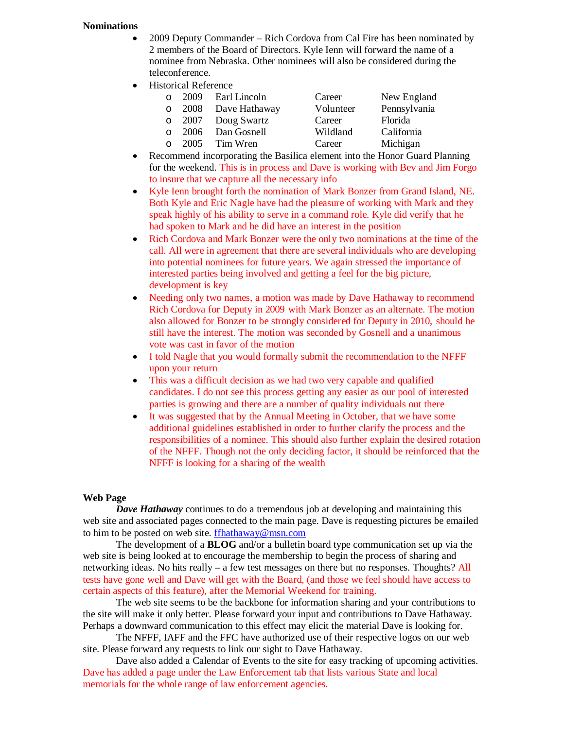## **Nominations**

- 2009 Deputy Commander Rich Cordova from Cal Fire has been nominated by 2 members of the Board of Directors. Kyle Ienn will forward the name of a nominee from Nebraska. Other nominees will also be considered during the teleconference.
- Historical Reference

| $\Omega$ | 2009 | Earl Lincoln       | Career    | New England  |
|----------|------|--------------------|-----------|--------------|
| $\circ$  | 2008 | Dave Hathaway      | Volunteer | Pennsylvania |
|          |      | o 2007 Doug Swartz | Career    | Florida      |
| $\Omega$ | 2006 | Dan Gosnell        | Wildland  | California   |
| $\Omega$ | 2005 | Tim Wren           | Career    | Michigan     |

- Recommend incorporating the Basilica element into the Honor Guard Planning for the weekend. This is in process and Dave is working with Bev and Jim Forgo to insure that we capture all the necessary info
- Kyle Ienn brought forth the nomination of Mark Bonzer from Grand Island, NE. Both Kyle and Eric Nagle have had the pleasure of working with Mark and they speak highly of his ability to serve in a command role. Kyle did verify that he had spoken to Mark and he did have an interest in the position
- Rich Cordova and Mark Bonzer were the only two nominations at the time of the call. All were in agreement that there are several individuals who are developing into potential nominees for future years. We again stressed the importance of interested parties being involved and getting a feel for the big picture, development is key
- Needing only two names, a motion was made by Dave Hathaway to recommend Rich Cordova for Deputy in 2009 with Mark Bonzer as an alternate. The motion also allowed for Bonzer to be strongly considered for Deputy in 2010, should he still have the interest. The motion was seconded by Gosnell and a unanimous vote was cast in favor of the motion
- I told Nagle that you would formally submit the recommendation to the NFFF upon your return
- This was a difficult decision as we had two very capable and qualified candidates. I do not see this process getting any easier as our pool of interested parties is growing and there are a number of quality individuals out there
- It was suggested that by the Annual Meeting in October, that we have some additional guidelines established in order to further clarify the process and the responsibilities of a nominee. This should also further explain the desired rotation of the NFFF. Though not the only deciding factor, it should be reinforced that the NFFF is looking for a sharing of the wealth

# **Web Page**

*Dave Hathaway* continues to do a tremendous job at developing and maintaining this web site and associated pages connected to the main page. Dave is requesting pictures be emailed to him to be posted on web site. [ffhathaway@msn.com](mailto:ffhathaway@msn.com)

The development of a **BLOG** and/or a bulletin board type communication set up via the web site is being looked at to encourage the membership to begin the process of sharing and networking ideas. No hits really – a few test messages on there but no responses. Thoughts? All tests have gone well and Dave will get with the Board, (and those we feel should have access to certain aspects of this feature), after the Memorial Weekend for training.

The web site seems to be the backbone for information sharing and your contributions to the site will make it only better. Please forward your input and contributions to Dave Hathaway. Perhaps a downward communication to this effect may elicit the material Dave is looking for.

The NFFF, IAFF and the FFC have authorized use of their respective logos on our web site. Please forward any requests to link our sight to Dave Hathaway.

Dave also added a Calendar of Events to the site for easy tracking of upcoming activities. Dave has added a page under the Law Enforcement tab that lists various State and local memorials for the whole range of law enforcement agencies.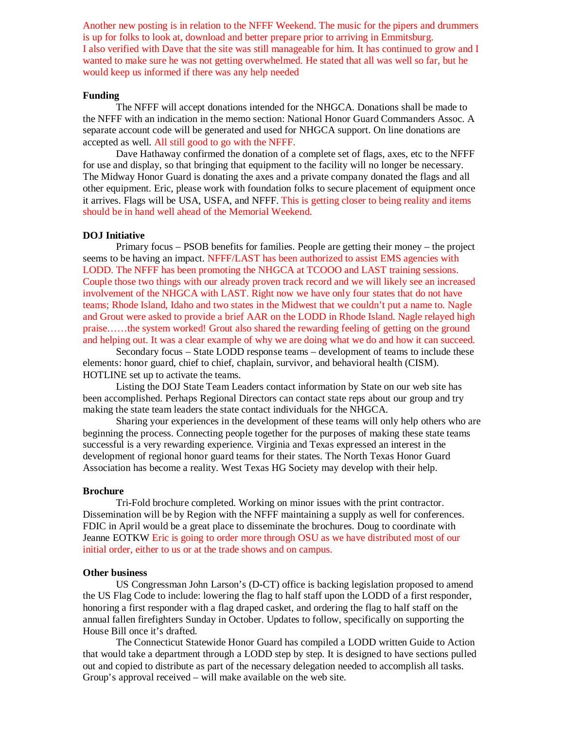Another new posting is in relation to the NFFF Weekend. The music for the pipers and drummers is up for folks to look at, download and better prepare prior to arriving in Emmitsburg. I also verified with Dave that the site was still manageable for him. It has continued to grow and I wanted to make sure he was not getting overwhelmed. He stated that all was well so far, but he would keep us informed if there was any help needed

#### **Funding**

The NFFF will accept donations intended for the NHGCA. Donations shall be made to the NFFF with an indication in the memo section: National Honor Guard Commanders Assoc. A separate account code will be generated and used for NHGCA support. On line donations are accepted as well. All still good to go with the NFFF.

Dave Hathaway confirmed the donation of a complete set of flags, axes, etc to the NFFF for use and display, so that bringing that equipment to the facility will no longer be necessary. The Midway Honor Guard is donating the axes and a private company donated the flags and all other equipment. Eric, please work with foundation folks to secure placement of equipment once it arrives. Flags will be USA, USFA, and NFFF. This is getting closer to being reality and items should be in hand well ahead of the Memorial Weekend.

#### **DOJ Initiative**

Primary focus – PSOB benefits for families. People are getting their money – the project seems to be having an impact. NFFF/LAST has been authorized to assist EMS agencies with LODD. The NFFF has been promoting the NHGCA at TCOOO and LAST training sessions. Couple those two things with our already proven track record and we will likely see an increased involvement of the NHGCA with LAST. Right now we have only four states that do not have teams; Rhode Island, Idaho and two states in the Midwest that we couldn't put a name to. Nagle and Grout were asked to provide a brief AAR on the LODD in Rhode Island. Nagle relayed high praise……the system worked! Grout also shared the rewarding feeling of getting on the ground and helping out. It was a clear example of why we are doing what we do and how it can succeed.

Secondary focus – State LODD response teams – development of teams to include these elements: honor guard, chief to chief, chaplain, survivor, and behavioral health (CISM). HOTLINE set up to activate the teams.

Listing the DOJ State Team Leaders contact information by State on our web site has been accomplished. Perhaps Regional Directors can contact state reps about our group and try making the state team leaders the state contact individuals for the NHGCA.

Sharing your experiences in the development of these teams will only help others who are beginning the process. Connecting people together for the purposes of making these state teams successful is a very rewarding experience. Virginia and Texas expressed an interest in the development of regional honor guard teams for their states. The North Texas Honor Guard Association has become a reality. West Texas HG Society may develop with their help.

### **Brochure**

Tri-Fold brochure completed. Working on minor issues with the print contractor. Dissemination will be by Region with the NFFF maintaining a supply as well for conferences. FDIC in April would be a great place to disseminate the brochures. Doug to coordinate with Jeanne EOTKW Eric is going to order more through OSU as we have distributed most of our initial order, either to us or at the trade shows and on campus.

### **Other business**

US Congressman John Larson's (D-CT) office is backing legislation proposed to amend the US Flag Code to include: lowering the flag to half staff upon the LODD of a first responder, honoring a first responder with a flag draped casket, and ordering the flag to half staff on the annual fallen firefighters Sunday in October. Updates to follow, specifically on supporting the House Bill once it's drafted.

The Connecticut Statewide Honor Guard has compiled a LODD written Guide to Action that would take a department through a LODD step by step. It is designed to have sections pulled out and copied to distribute as part of the necessary delegation needed to accomplish all tasks. Group's approval received – will make available on the web site.